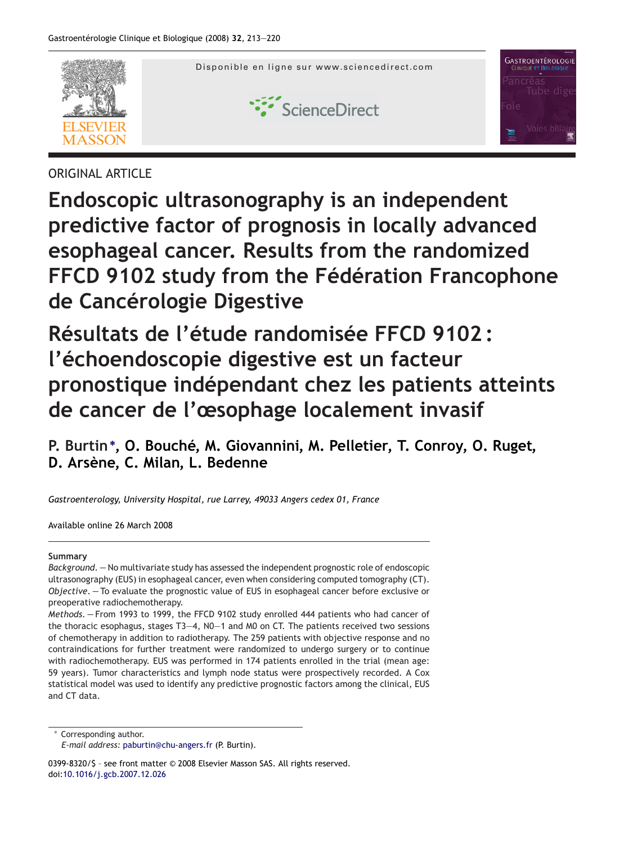

# ORIGINAL ARTICLE

**Endoscopic ultrasonography is an independent predictive factor of prognosis in locally advanced esophageal cancer. Results from the randomized FFCD 9102 study from the Fédération Francophone de Cancérologie Digestive**

**Résultats de l'étude randomisée FFCD 9102 : l'échoendoscopie digestive est un facteur pronostique indépendant chez les patients atteints de cancer de l'œsophage localement invasif**

**P. Burtin<sup>∗</sup> , O. Bouché, M. Giovannini, M. Pelletier, T. Conroy, O. Ruget, D. Arsène, C. Milan, L. Bedenne**

*Gastroenterology, University Hospital, rue Larrey, 49033 Angers cedex 01, France*

Available online 26 March 2008

## **Summary**

*Background. —* No multivariate study has assessed the independent prognostic role of endoscopic ultrasonography (EUS) in esophageal cancer, even when considering computed tomography (CT). *Objective. —* To evaluate the prognostic value of EUS in esophageal cancer before exclusive or preoperative radiochemotherapy.

*Methods. —* From 1993 to 1999, the FFCD 9102 study enrolled 444 patients who had cancer of the thoracic esophagus, stages T3—4, N0—1 and M0 on CT. The patients received two sessions of chemotherapy in addition to radiotherapy. The 259 patients with objective response and no contraindications for further treatment were randomized to undergo surgery or to continue with radiochemotherapy. EUS was performed in 174 patients enrolled in the trial (mean age: 59 years). Tumor characteristics and lymph node status were prospectively recorded. A Cox statistical model was used to identify any predictive prognostic factors among the clinical, EUS and CT data.

∗ Corresponding author.

0399-8320/\$ – see front matter © 2008 Elsevier Masson SAS. All rights reserved. doi[:10.1016/j.gcb.2007.12.026](dx.doi.org/10.1016/j.gcb.2007.12.026)

*E-mail address:* [paburtin@chu-angers.fr](mailto:paburtin@chu-angers.fr) (P. Burtin).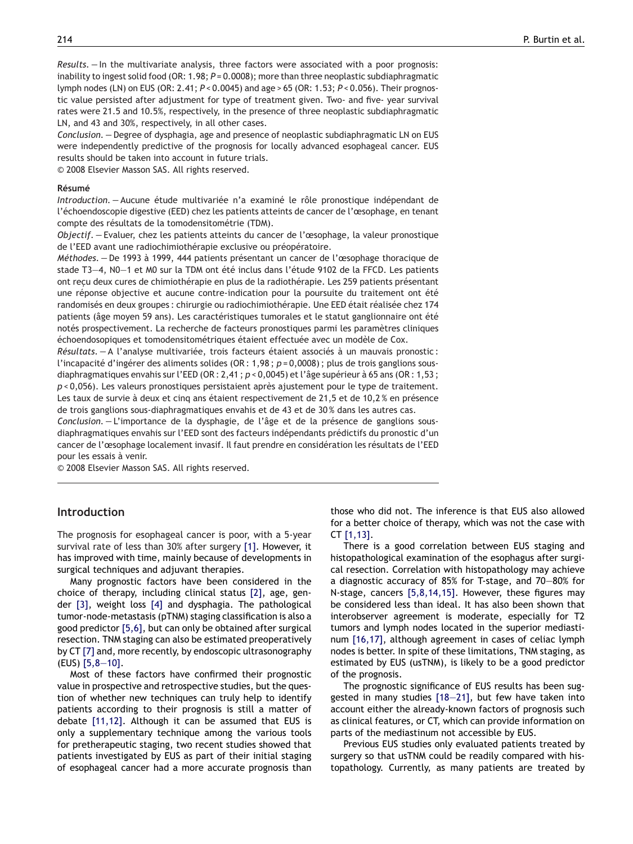*Results. —* In the multivariate analysis, three factors were associated with a poor prognosis: inability to ingest solid food (OR: 1.98;  $P = 0.0008$ ); more than three neoplastic subdiaphragmatic lymph nodes (LN) on EUS (OR: 2.41; *P* < 0.0045) and age > 65 (OR: 1.53; *P* < 0.056). Their prognostic value persisted after adjustment for type of treatment given. Two- and five- year survival rates were 21.5 and 10.5%, respectively, in the presence of three neoplastic subdiaphragmatic LN, and 43 and 30%, respectively, in all other cases.

*Conclusion. —* Degree of dysphagia, age and presence of neoplastic subdiaphragmatic LN on EUS were independently predictive of the prognosis for locally advanced esophageal cancer. EUS results should be taken into account in future trials.

© 2008 Elsevier Masson SAS. All rights reserved.

#### **Résumé**

*Introduction. —* Aucune étude multivariée n'a examiné le rôle pronostique indépendant de l'échoendoscopie digestive (EED) chez les patients atteints de cancer de l'œsophage, en tenant compte des résultats de la tomodensitométrie (TDM).

*Objectif. —* Evaluer, chez les patients atteints du cancer de l'œsophage, la valeur pronostique de l'EED avant une radiochimiothérapie exclusive ou préopératoire.

*Méthodes. —* De 1993 à 1999, 444 patients présentant un cancer de l'œsophage thoracique de stade T3—4, N0—1 et M0 sur la TDM ont été inclus dans l'étude 9102 de la FFCD. Les patients ont reçu deux cures de chimiothérapie en plus de la radiothérapie. Les 259 patients présentant une réponse objective et aucune contre-indication pour la poursuite du traitement ont été randomisés en deux groupes : chirurgie ou radiochimiothérapie. Une EED était réalisée chez 174 patients (âge moyen 59 ans). Les caractéristiques tumorales et le statut ganglionnaire ont été notés prospectivement. La recherche de facteurs pronostiques parmi les paramètres cliniques échoendosopiques et tomodensitométriques étaient effectuée avec un modèle de Cox.

*Résultats. —* A l'analyse multivariée, trois facteurs étaient associés à un mauvais pronostic : l'incapacité d'ingérer des aliments solides (OR : 1,98 ; *p* = 0,0008) ; plus de trois ganglions sousdiaphragmatiques envahis sur l'EED (OR : 2,41 ; *p* < 0,0045) et l'âge supérieur à 65 ans (OR : 1,53 ; *p* < 0,056). Les valeurs pronostiques persistaient après ajustement pour le type de traitement. Les taux de survie à deux et cinq ans étaient respectivement de 21,5 et de 10,2 % en présence de trois ganglions sous-diaphragmatiques envahis et de 43 et de 30 % dans les autres cas.

*Conclusion. —* L'importance de la dysphagie, de l'âge et de la présence de ganglions sousdiaphragmatiques envahis sur l'EED sont des facteurs indépendants prédictifs du pronostic d'un cancer de l'œsophage localement invasif. Il faut prendre en considération les résultats de l'EED pour les essais à venir.

© 2008 Elsevier Masson SAS. All rights reserved.

## **Introduction**

The prognosis for esophageal cancer is poor, with a 5-year survival rate of less than 30% after surgery [\[1\].](#page-6-0) However, it has improved with time, mainly because of developments in surgical techniques and adjuvant therapies.

Many prognostic factors have been considered in the choice of therapy, including clinical status [\[2\],](#page-6-0) age, gender [\[3\],](#page-6-0) weight loss [\[4\]](#page-6-0) and dysphagia. The pathological tumor-node-metastasis (pTNM) staging classification is also a good predictor [\[5,6\],](#page-6-0) but can only be obtained after surgical resection. TNM staging can also be estimated preoperatively by CT [\[7\]](#page-6-0) and, more recently, by endoscopic ultrasonography (EUS) [\[5,8—10\].](#page-6-0)

Most of these factors have confirmed their prognostic value in prospective and retrospective studies, but the question of whether new techniques can truly help to identify patients according to their prognosis is still a matter of debate [\[11,12\].](#page-6-0) Although it can be assumed that EUS is only a supplementary technique among the various tools for pretherapeutic staging, two recent studies showed that patients investigated by EUS as part of their initial staging of esophageal cancer had a more accurate prognosis than those who did not. The inference is that EUS also allowed for a better choice of therapy, which was not the case with CT [\[1,13\].](#page-6-0)

There is a good correlation between EUS staging and histopathological examination of the esophagus after surgical resection. Correlation with histopathology may achieve a diagnostic accuracy of 85% for T-stage, and 70—80% for N-stage, cancers [\[5,8,14,15\].](#page-6-0) However, these figures may be considered less than ideal. It has also been shown that interobserver agreement is moderate, especially for T2 tumors and lymph nodes located in the superior mediastinum [\[16,17\],](#page-6-0) although agreement in cases of celiac lymph nodes is better. In spite of these limitations, TNM staging, as estimated by EUS (usTNM), is likely to be a good predictor of the prognosis.

The prognostic significance of EUS results has been suggested in many studies [\[18—21\],](#page-7-0) but few have taken into account either the already-known factors of prognosis such as clinical features, or CT, which can provide information on parts of the mediastinum not accessible by EUS.

Previous EUS studies only evaluated patients treated by surgery so that usTNM could be readily compared with histopathology. Currently, as many patients are treated by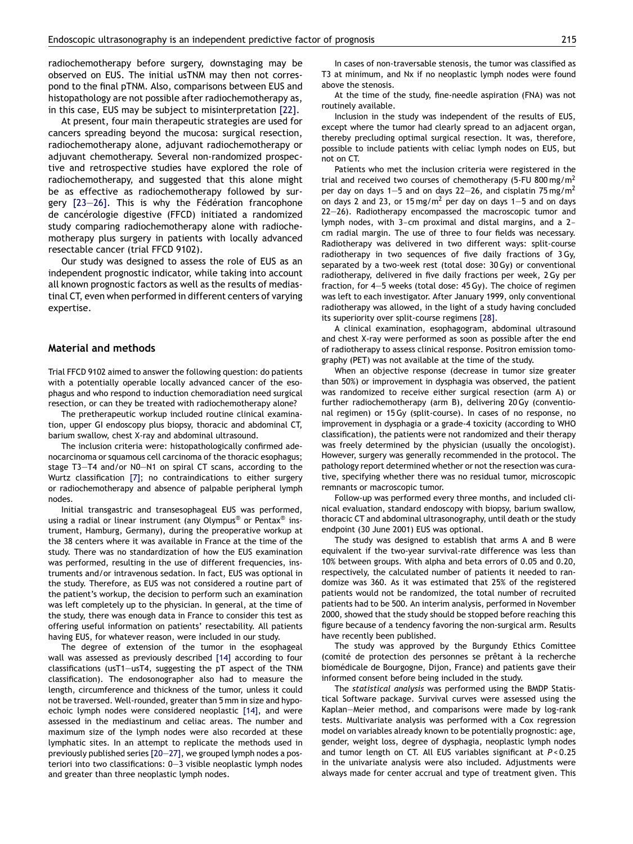radiochemotherapy before surgery, downstaging may be observed on EUS. The initial usTNM may then not correspond to the final pTNM. Also, comparisons between EUS and histopathology are not possible after radiochemotherapy as, in this case, EUS may be subject to misinterpretation [\[22\].](#page-7-0)

At present, four main therapeutic strategies are used for cancers spreading beyond the mucosa: surgical resection, radiochemotherapy alone, adjuvant radiochemotherapy or adjuvant chemotherapy. Several non-randomized prospective and retrospective studies have explored the role of radiochemotherapy, and suggested that this alone might be as effective as radiochemotherapy followed by surgery [\[23—26\].](#page-7-0) This is why the Fédération francophone de cancérologie digestive (FFCD) initiated a randomized study comparing radiochemotherapy alone with radiochemotherapy plus surgery in patients with locally advanced resectable cancer (trial FFCD 9102).

Our study was designed to assess the role of EUS as an independent prognostic indicator, while taking into account all known prognostic factors as well as the results of mediastinal CT, even when performed in different centers of varying expertise.

#### **Material and methods**

Trial FFCD 9102 aimed to answer the following question: do patients with a potentially operable locally advanced cancer of the esophagus and who respond to induction chemoradiation need surgical resection, or can they be treated with radiochemotherapy alone?

The pretherapeutic workup included routine clinical examination, upper GI endoscopy plus biopsy, thoracic and abdominal CT, barium swallow, chest X-ray and abdominal ultrasound.

The inclusion criteria were: histopathologically confirmed adenocarcinoma or squamous cell carcinoma of the thoracic esophagus; stage T3—T4 and/or N0—N1 on spiral CT scans, according to the Wurtz classification [\[7\];](#page-6-0) no contraindications to either surgery or radiochemotherapy and absence of palpable peripheral lymph nodes.

Initial transgastric and transesophageal EUS was performed, using a radial or linear instrument (any Olympus<sup>®</sup> or Pentax<sup>®</sup> instrument, Hamburg, Germany), during the preoperative workup at the 38 centers where it was available in France at the time of the study. There was no standardization of how the EUS examination was performed, resulting in the use of different frequencies, instruments and/or intravenous sedation. In fact, EUS was optional in the study. Therefore, as EUS was not considered a routine part of the patient's workup, the decision to perform such an examination was left completely up to the physician. In general, at the time of the study, there was enough data in France to consider this test as offering useful information on patients' resectability. All patients having EUS, for whatever reason, were included in our study.

The degree of extension of the tumor in the esophageal wall was assessed as previously described [\[14\]](#page-6-0) according to four classifications (usT1—usT4, suggesting the pT aspect of the TNM classification). The endosonographer also had to measure the length, circumference and thickness of the tumor, unless it could not be traversed. Well-rounded, greater than 5 mm in size and hypoechoic lymph nodes were considered neoplastic [\[14\],](#page-6-0) and were assessed in the mediastinum and celiac areas. The number and maximum size of the lymph nodes were also recorded at these lymphatic sites. In an attempt to replicate the methods used in previously published series [\[20—27\], w](#page-7-0)e grouped lymph nodes a posteriori into two classifications: 0—3 visible neoplastic lymph nodes and greater than three neoplastic lymph nodes.

In cases of non-traversable stenosis, the tumor was classified as T3 at minimum, and Nx if no neoplastic lymph nodes were found above the stenosis.

At the time of the study, fine-needle aspiration (FNA) was not routinely available.

Inclusion in the study was independent of the results of EUS, except where the tumor had clearly spread to an adjacent organ, thereby precluding optimal surgical resection. It was, therefore, possible to include patients with celiac lymph nodes on EUS, but not on CT.

Patients who met the inclusion criteria were registered in the trial and received two courses of chemotherapy (5-FU 800 mg/m<sup>2</sup> per day on days 1–5 and on days 22–26, and cisplatin 75 mg/m<sup>2</sup> on days 2 and 23, or 15 mg/m<sup>2</sup> per day on days 1–5 and on days 22—26). Radiotherapy encompassed the macroscopic tumor and lymph nodes, with 3-cm proximal and distal margins, and a 2 cm radial margin. The use of three to four fields was necessary. Radiotherapy was delivered in two different ways: split-course radiotherapy in two sequences of five daily fractions of 3 Gy, separated by a two-week rest (total dose: 30 Gy) or conventional radiotherapy, delivered in five daily fractions per week, 2 Gy per fraction, for 4—5 weeks (total dose: 45 Gy). The choice of regimen was left to each investigator. After January 1999, only conventional radiotherapy was allowed, in the light of a study having concluded its superiority over split-course regimens [\[28\].](#page-7-0)

A clinical examination, esophagogram, abdominal ultrasound and chest X-ray were performed as soon as possible after the end of radiotherapy to assess clinical response. Positron emission tomography (PET) was not available at the time of the study.

When an objective response (decrease in tumor size greater than 50%) or improvement in dysphagia was observed, the patient was randomized to receive either surgical resection (arm A) or further radiochemotherapy (arm B), delivering 20 Gy (conventional regimen) or 15 Gy (split-course). In cases of no response, no improvement in dysphagia or a grade-4 toxicity (according to WHO classification), the patients were not randomized and their therapy was freely determined by the physician (usually the oncologist). However, surgery was generally recommended in the protocol. The pathology report determined whether or not the resection was curative, specifying whether there was no residual tumor, microscopic remnants or macroscopic tumor.

Follow-up was performed every three months, and included clinical evaluation, standard endoscopy with biopsy, barium swallow, thoracic CT and abdominal ultrasonography, until death or the study endpoint (30 June 2001) EUS was optional.

The study was designed to establish that arms A and B were equivalent if the two-year survival-rate difference was less than 10% between groups. With alpha and beta errors of 0.05 and 0.20, respectively, the calculated number of patients it needed to randomize was 360. As it was estimated that 25% of the registered patients would not be randomized, the total number of recruited patients had to be 500. An interim analysis, performed in November 2000, showed that the study should be stopped before reaching this figure because of a tendency favoring the non-surgical arm. Results have recently been published.

The study was approved by the Burgundy Ethics Comittee (comité de protection des personnes se prêtant à la recherche biomédicale de Bourgogne, Dijon, France) and patients gave their informed consent before being included in the study.

The *statistical analysis* was performed using the BMDP Statistical Software package. Survival curves were assessed using the Kaplan—Meier method, and comparisons were made by log-rank tests. Multivariate analysis was performed with a Cox regression model on variables already known to be potentially prognostic: age, gender, weight loss, degree of dysphagia, neoplastic lymph nodes and tumor length on CT. All EUS variables significant at *P* < 0.25 in the univariate analysis were also included. Adjustments were always made for center accrual and type of treatment given. This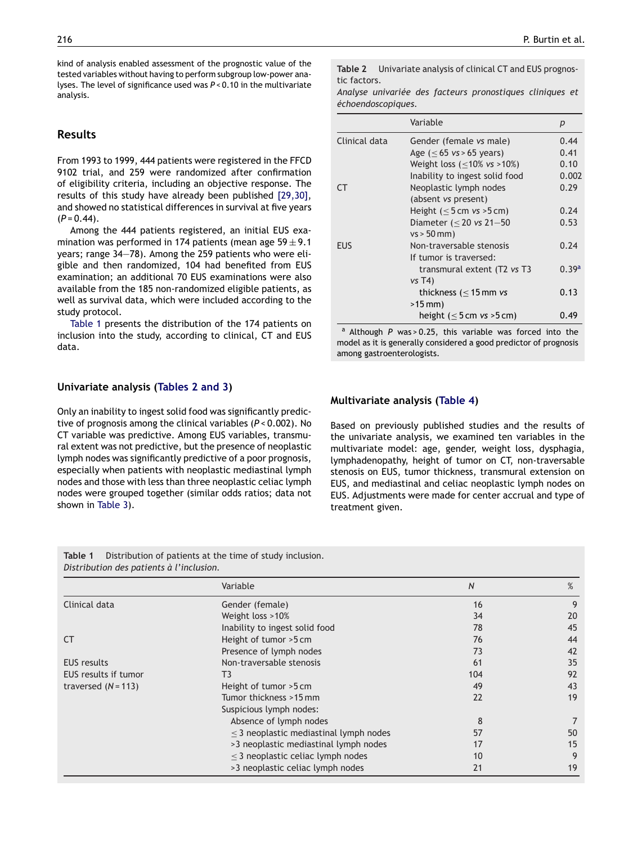kind of analysis enabled assessment of the prognostic value of the tested variables without having to perform subgroup low-power analyses. The level of significance used was *P* < 0.10 in the multivariate analysis.

## **Results**

From 1993 to 1999, 444 patients were registered in the FFCD 9102 trial, and 259 were randomized after confirmation of eligibility criteria, including an objective response. The results of this study have already been published [\[29,30\],](#page-7-0) and showed no statistical differences in survival at five years  $(P = 0.44)$ .

Among the 444 patients registered, an initial EUS examination was performed in 174 patients (mean age  $59 \pm 9.1$ years; range 34—78). Among the 259 patients who were eligible and then randomized, 104 had benefited from EUS examination; an additional 70 EUS examinations were also available from the 185 non-randomized eligible patients, as well as survival data, which were included according to the study protocol.

Table 1 presents the distribution of the 174 patients on inclusion into the study, according to clinical, CT and EUS data.

### **Univariate analysis (Tables 2 and 3)**

Only an inability to ingest solid food was significantly predictive of prognosis among the clinical variables (*P* < 0.002). No CT variable was predictive. Among EUS variables, transmural extent was not predictive, but the presence of neoplastic lymph nodes was significantly predictive of a poor prognosis, especially when patients with neoplastic mediastinal lymph nodes and those with less than three neoplastic celiac lymph nodes were grouped together (similar odds ratios; data not shown in [Table 3\).](#page-4-0)

**Table 2** Univariate analysis of clinical CT and EUS prognostic factors.

*Analyse univariée des facteurs pronostiques cliniques et échoendoscopiques.*

|               | Variable                                    | р     |
|---------------|---------------------------------------------|-------|
| Clinical data | Gender (female vs male)                     | 0.44  |
|               | Age $(< 65$ vs > 65 years)                  | 0.41  |
|               | Weight loss $(\leq 10\% \text{ vs } >10\%)$ | 0.10  |
|               | Inability to ingest solid food              | 0.002 |
| СT            | Neoplastic lymph nodes                      | 0.29  |
|               | (absent vs present)                         |       |
|               | Height $(< 5 cm vs > 5 cm)$                 | 0.24  |
|               | Diameter ( $\leq$ 20 vs 21-50               | 0.53  |
|               | $vs > 50$ mm)                               |       |
| <b>EUS</b>    | Non-traversable stenosis                    | 0.74  |
|               | If tumor is traversed:                      |       |
|               | transmural extent (T2 vs T3                 | 0.39a |
|               | $vs$ T4)                                    |       |
|               | thickness ( $\leq$ 15 mm vs                 | 0.13  |
|               | $>15$ mm)                                   |       |
|               | height $(< 5 cm vs > 5 cm)$                 | 0.49  |

<sup>a</sup> Although *P* was > 0.25, this variable was forced into the model as it is generally considered a good predictor of prognosis among gastroenterologists.

## **Multivariate analysis ([Table 4\)](#page-4-0)**

Based on previously published studies and the results of the univariate analysis, we examined ten variables in the multivariate model: age, gender, weight loss, dysphagia, lymphadenopathy, height of tumor on CT, non-traversable stenosis on EUS, tumor thickness, transmural extension on EUS, and mediastinal and celiac neoplastic lymph nodes on EUS. Adjustments were made for center accrual and type of treatment given.

**Table 1** Distribution of patients at the time of study inclusion. *Distribution des patients à l'inclusion.*

|                       | Variable                                    | N   | %  |
|-----------------------|---------------------------------------------|-----|----|
| Clinical data         | Gender (female)                             | 16  | 9  |
|                       | Weight loss >10%                            | 34  | 20 |
|                       | Inability to ingest solid food              | 78  | 45 |
| <b>CT</b>             | Height of tumor >5 cm                       | 76  | 44 |
|                       | Presence of lymph nodes                     | 73  | 42 |
| <b>EUS</b> results    | Non-traversable stenosis                    | 61  | 35 |
| EUS results if tumor  | T3                                          | 104 | 92 |
| traversed $(N = 113)$ | Height of tumor >5 cm                       | 49  | 43 |
|                       | Tumor thickness >15 mm                      | 22  | 19 |
|                       | Suspicious lymph nodes:                     |     |    |
|                       | Absence of lymph nodes                      | 8   |    |
|                       | $\leq$ 3 neoplastic mediastinal lymph nodes | 57  | 50 |
|                       | >3 neoplastic mediastinal lymph nodes       | 17  | 15 |
|                       | $\leq$ 3 neoplastic celiac lymph nodes      | 10  | 9  |
|                       | >3 neoplastic celiac lymph nodes            | 21  | 19 |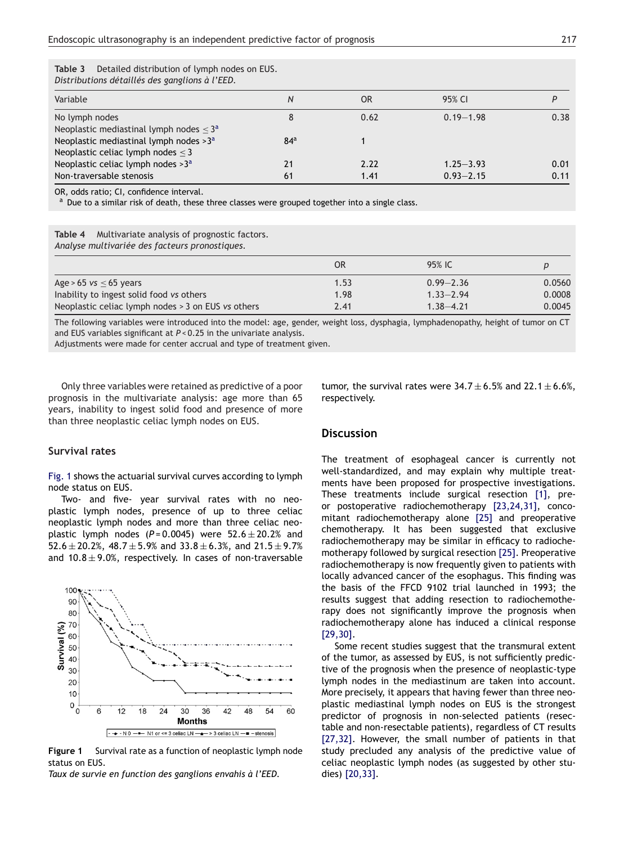| c buu<br>Detailed distribution of tyniph nodes on EOS.<br>Distributions détaillés des ganglions à l'EED. |                 |                |               |      |
|----------------------------------------------------------------------------------------------------------|-----------------|----------------|---------------|------|
| Variable                                                                                                 | N               | 0 <sub>R</sub> | 95% CI        |      |
| No lymph nodes                                                                                           | 8               | 0.62           | $0.19 - 1.98$ | 0.38 |
| Neoplastic mediastinal lymph nodes $\leq$ 3 <sup>a</sup>                                                 |                 |                |               |      |
| Neoplastic mediastinal lymph nodes $>3^a$                                                                | 84 <sup>a</sup> |                |               |      |
| Neoplastic celiac lymph nodes $\leq$ 3                                                                   |                 |                |               |      |
| Neoplastic celiac lymph nodes > 3 <sup>a</sup>                                                           | 21              | 2.22           | $1.25 - 3.93$ | 0.01 |
| Non-traversable stenosis                                                                                 | 61              | 1.41           | $0.93 - 2.15$ | 0.11 |

<span id="page-4-0"></span>**Table 3** Detailed distribution of lymph nodes on EUS.

OR, odds ratio; CI, confidence interval.

Due to a similar risk of death, these three classes were grouped together into a single class.

**Table 4** Multivariate analysis of prognostic factors. *Analyse multivariée des facteurs pronostiques.*

| Analyse mattival lee des jacteurs pronostiques. |  |
|-------------------------------------------------|--|
|                                                 |  |

|                                                    | OR   | 95% IC        |        |
|----------------------------------------------------|------|---------------|--------|
| Age > 65 $vs < 65$ years                           | 1.53 | $0.99 - 2.36$ | 0.0560 |
| Inability to ingest solid food vs others           | 1.98 | $1.33 - 2.94$ | 0.0008 |
| Neoplastic celiac lymph nodes > 3 on EUS vs others | 2.41 | $1.38 - 4.21$ | 0.0045 |

The following variables were introduced into the model: age, gender, weight loss, dysphagia, lymphadenopathy, height of tumor on CT and EUS variables significant at  $P < 0.25$  in the univariate analysis.

Adjustments were made for center accrual and type of treatment given.

Only three variables were retained as predictive of a poor prognosis in the multivariate analysis: age more than 65 years, inability to ingest solid food and presence of more than three neoplastic celiac lymph nodes on EUS.

## **Survival rates**

Fig. 1 shows the actuarial survival curves according to lymph node status on EUS.

Two- and five- year survival rates with no neoplastic lymph nodes, presence of up to three celiac neoplastic lymph nodes and more than three celiac neoplastic lymph nodes  $(P=0.0045)$  were  $52.6 \pm 20.2%$  and  $52.6 \pm 20.2$ %,  $48.7 \pm 5.9$ % and  $33.8 \pm 6.3$ %, and  $21.5 \pm 9.7$ % and  $10.8 \pm 9.0$ %, respectively. In cases of non-traversable



**Figure 1** Survival rate as a function of neoplastic lymph node status on EUS.

*Taux de survie en function des ganglions envahis à l'EED.*

tumor, the survival rates were  $34.7 \pm 6.5\%$  and  $22.1 \pm 6.6\%$ , respectively.

## **Discussion**

The treatment of esophageal cancer is currently not well-standardized, and may explain why multiple treatments have been proposed for prospective investigations. These treatments include surgical resection [\[1\],](#page-6-0) preor postoperative radiochemotherapy [\[23,24,31\],](#page-7-0) concomitant radiochemotherapy alone [\[25\]](#page-7-0) and preoperative chemotherapy. It has been suggested that exclusive radiochemotherapy may be similar in efficacy to radiochemotherapy followed by surgical resection [\[25\].](#page-7-0) Preoperative radiochemotherapy is now frequently given to patients with locally advanced cancer of the esophagus. This finding was the basis of the FFCD 9102 trial launched in 1993; the results suggest that adding resection to radiochemotherapy does not significantly improve the prognosis when radiochemotherapy alone has induced a clinical response [\[29,30\].](#page-7-0)

Some recent studies suggest that the transmural extent of the tumor, as assessed by EUS, is not sufficiently predictive of the prognosis when the presence of neoplastic-type lymph nodes in the mediastinum are taken into account. More precisely, it appears that having fewer than three neoplastic mediastinal lymph nodes on EUS is the strongest predictor of prognosis in non-selected patients (resectable and non-resectable patients), regardless of CT results [\[27,32\].](#page-7-0) However, the small number of patients in that study precluded any analysis of the predictive value of celiac neoplastic lymph nodes (as suggested by other studies) [\[20,33\].](#page-7-0)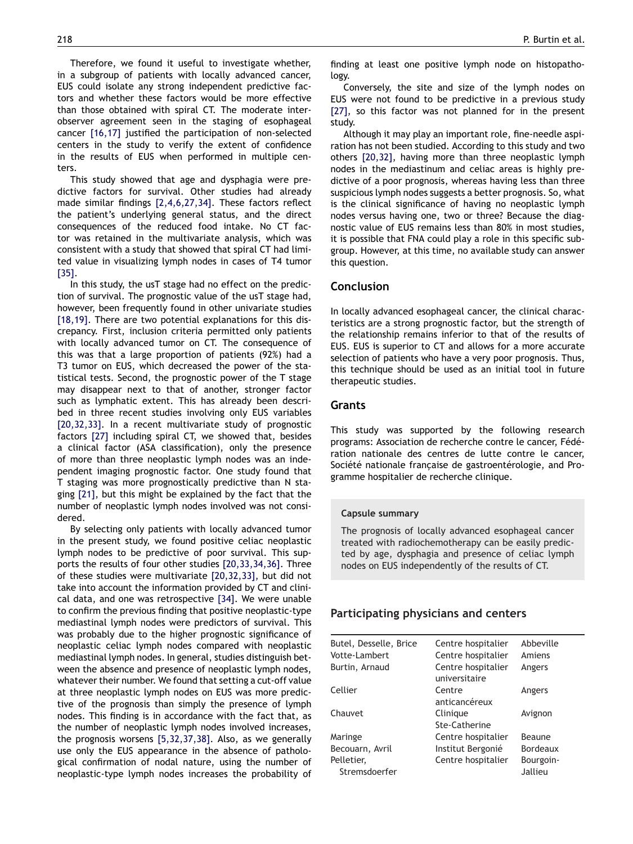Therefore, we found it useful to investigate whether, in a subgroup of patients with locally advanced cancer, EUS could isolate any strong independent predictive factors and whether these factors would be more effective than those obtained with spiral CT. The moderate interobserver agreement seen in the staging of esophageal cancer [\[16,17\]](#page-6-0) justified the participation of non-selected centers in the study to verify the extent of confidence in the results of EUS when performed in multiple centers.

This study showed that age and dysphagia were predictive factors for survival. Other studies had already made similar findings [\[2,4,6,27,34\].](#page-6-0) These factors reflect the patient's underlying general status, and the direct consequences of the reduced food intake. No CT factor was retained in the multivariate analysis, which was consistent with a study that showed that spiral CT had limited value in visualizing lymph nodes in cases of T4 tumor [\[35\].](#page-7-0)

In this study, the usT stage had no effect on the prediction of survival. The prognostic value of the usT stage had, however, been frequently found in other univariate studies [\[18,19\].](#page-7-0) There are two potential explanations for this discrepancy. First, inclusion criteria permitted only patients with locally advanced tumor on CT. The consequence of this was that a large proportion of patients (92%) had a T3 tumor on EUS, which decreased the power of the statistical tests. Second, the prognostic power of the T stage may disappear next to that of another, stronger factor such as lymphatic extent. This has already been described in three recent studies involving only EUS variables [\[20,32,33\].](#page-7-0) In a recent multivariate study of prognostic factors [\[27\]](#page-7-0) including spiral CT, we showed that, besides a clinical factor (ASA classification), only the presence of more than three neoplastic lymph nodes was an independent imaging prognostic factor. One study found that T staging was more prognostically predictive than N staging [\[21\],](#page-7-0) but this might be explained by the fact that the number of neoplastic lymph nodes involved was not considered.

By selecting only patients with locally advanced tumor in the present study, we found positive celiac neoplastic lymph nodes to be predictive of poor survival. This supports the results of four other studies [\[20,33,34,36\].](#page-7-0) Three of these studies were multivariate [\[20,32,33\],](#page-7-0) but did not take into account the information provided by CT and clinical data, and one was retrospective [\[34\].](#page-7-0) We were unable to confirm the previous finding that positive neoplastic-type mediastinal lymph nodes were predictors of survival. This was probably due to the higher prognostic significance of neoplastic celiac lymph nodes compared with neoplastic mediastinal lymph nodes. In general, studies distinguish between the absence and presence of neoplastic lymph nodes, whatever their number. We found that setting a cut-off value at three neoplastic lymph nodes on EUS was more predictive of the prognosis than simply the presence of lymph nodes. This finding is in accordance with the fact that, as the number of neoplastic lymph nodes involved increases, the prognosis worsens [\[5,32,37,38\].](#page-6-0) Also, as we generally use only the EUS appearance in the absence of pathological confirmation of nodal nature, using the number of neoplastic-type lymph nodes increases the probability of finding at least one positive lymph node on histopathology.

Conversely, the site and size of the lymph nodes on EUS were not found to be predictive in a previous study [\[27\],](#page-7-0) so this factor was not planned for in the present study.

Although it may play an important role, fine-needle aspiration has not been studied. According to this study and two others [\[20,32\],](#page-7-0) having more than three neoplastic lymph nodes in the mediastinum and celiac areas is highly predictive of a poor prognosis, whereas having less than three suspicious lymph nodes suggests a better prognosis. So, what is the clinical significance of having no neoplastic lymph nodes versus having one, two or three? Because the diagnostic value of EUS remains less than 80% in most studies, it is possible that FNA could play a role in this specific subgroup. However, at this time, no available study can answer this question.

## **Conclusion**

In locally advanced esophageal cancer, the clinical characteristics are a strong prognostic factor, but the strength of the relationship remains inferior to that of the results of EUS. EUS is superior to CT and allows for a more accurate selection of patients who have a very poor prognosis. Thus, this technique should be used as an initial tool in future therapeutic studies.

## **Grants**

This study was supported by the following research programs: Association de recherche contre le cancer, Fédération nationale des centres de lutte contre le cancer, Société nationale française de gastroentérologie, and Programme hospitalier de recherche clinique.

#### **Capsule summary**

The prognosis of locally advanced esophageal cancer treated with radiochemotherapy can be easily predicted by age, dysphagia and presence of celiac lymph nodes on EUS independently of the results of CT.

#### **Participating physicians and centers**

| Butel, Desselle, Brice<br>Votte-Lambert<br>Burtin, Arnaud | Centre hospitalier<br>Centre hospitalier<br>Centre hospitalier<br>universitaire | Abbeville<br>Amiens<br>Angers |
|-----------------------------------------------------------|---------------------------------------------------------------------------------|-------------------------------|
| Cellier                                                   | Centre<br>anticancéreux                                                         | Angers                        |
| Chauvet                                                   | Clinique<br>Ste-Catherine                                                       | Avignon                       |
| Maringe                                                   | Centre hospitalier                                                              | Beaune                        |
| Becouarn, Avril                                           | Institut Bergonié                                                               | Bordeaux                      |
| Pelletier,<br>Stremsdoerfer                               | Centre hospitalier                                                              | Bourgoin-<br>Jallieu          |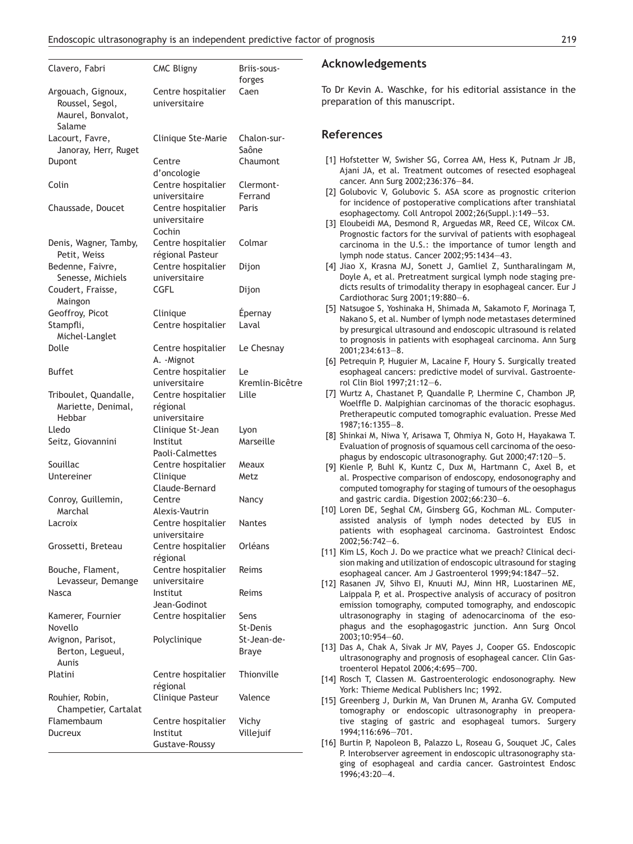<span id="page-6-0"></span>

| Clavero, Fabri                                                       | <b>CMC Bligny</b>                                | Briis-sous-<br>forges   |
|----------------------------------------------------------------------|--------------------------------------------------|-------------------------|
| Argouach, Gignoux,<br>Roussel, Segol,<br>Maurel, Bonvalot,<br>Salame | Centre hospitalier<br>universitaire              | Caen                    |
| Lacourt, Favre,<br>Janoray, Herr, Ruget                              | Clinique Ste-Marie                               | Chalon-sur-<br>Saône    |
| Dupont                                                               | Centre<br>d'oncologie                            | Chaumont                |
| Colin                                                                | Centre hospitalier<br>universitaire              | Clermont-<br>Ferrand    |
| Chaussade, Doucet                                                    | Centre hospitalier<br>universitaire<br>Cochin    | Paris                   |
| Denis, Wagner, Tamby,<br>Petit, Weiss                                | Centre hospitalier<br>régional Pasteur           | Colmar                  |
| Bedenne, Faivre,<br>Senesse, Michiels                                | Centre hospitalier<br>universitaire              | Dijon                   |
| Coudert, Fraisse,<br>Maingon                                         | CGFL                                             | Dijon                   |
| Geoffroy, Picot<br>Stampfli,<br>Michel-Langlet                       | Clinique<br>Centre hospitalier                   | Épernay<br>Laval        |
| Dolle                                                                | Centre hospitalier<br>A. - Mignot                | Le Chesnay              |
| <b>Buffet</b>                                                        | Centre hospitalier<br>universitaire              | Le<br>Kremlin-Bicêtre   |
| Triboulet, Quandalle,<br>Mariette, Denimal,<br>Hebbar                | Centre hospitalier<br>régional<br>universitaire  | Lille                   |
| Lledo<br>Seitz, Giovannini                                           | Clinique St-Jean<br>Institut<br>Paoli-Calmettes  | Lyon<br>Marseille       |
| Souillac                                                             | Centre hospitalier                               | Meaux                   |
| Untereiner                                                           | Clinique<br>Claude-Bernard                       | Metz                    |
| Conroy, Guillemin,<br>Marchal                                        | Centre<br>Alexis-Vautrin                         | Nancy                   |
| Lacroix                                                              | Centre hospitalier<br>universitaire              | <b>Nantes</b>           |
| Grossetti, Breteau                                                   | Centre hospitalier<br>régional                   | Orléans                 |
| Bouche, Flament,<br>Levasseur, Demange                               | Centre hospitalier<br>universitaire<br>Institut  | Reims<br>Reims          |
| Nasca                                                                | Jean-Godinot                                     |                         |
| Kamerer, Fournier<br>Novello                                         | Centre hospitalier                               | Sens<br><b>St-Denis</b> |
| Avignon, Parisot,<br>Berton, Legueul,<br>Aunis                       | Polyclinique                                     | St-Jean-de-<br>Braye    |
| Platini                                                              | Centre hospitalier<br>régional                   | Thionville              |
| Rouhier, Robin,<br>Champetier, Cartalat                              | Clinique Pasteur                                 | Valence                 |
| Flamembaum<br>Ducreux                                                | Centre hospitalier<br>Institut<br>Gustave-Roussy | Vichy<br>Villejuif      |

#### **Acknowledgements**

To Dr Kevin A. Waschke, for his editorial assistance in the preparation of this manuscript.

## **References**

- [1] Hofstetter W, Swisher SG, Correa AM, Hess K, Putnam Jr JB, Ajani JA, et al. Treatment outcomes of resected esophageal cancer. Ann Surg 2002;236:376—84.
- [2] Golubovic V, Golubovic S. ASA score as prognostic criterion for incidence of postoperative complications after transhiatal esophagectomy. Coll Antropol 2002;26(Suppl.):149—53.
- [3] Eloubeidi MA, Desmond R, Arguedas MR, Reed CE, Wilcox CM. Prognostic factors for the survival of patients with esophageal carcinoma in the U.S.: the importance of tumor length and lymph node status. Cancer 2002;95:1434—43.
- [4] Jiao X, Krasna MJ, Sonett J, Gamliel Z, Suntharalingam M, Doyle A, et al. Pretreatment surgical lymph node staging predicts results of trimodality therapy in esophageal cancer. Eur J Cardiothorac Surg 2001;19:880—6.
- [5] Natsugoe S, Yoshinaka H, Shimada M, Sakamoto F, Morinaga T, Nakano S, et al. Number of lymph node metastases determined by presurgical ultrasound and endoscopic ultrasound is related to prognosis in patients with esophageal carcinoma. Ann Surg 2001;234:613—8.
- [6] Petrequin P, Huguier M, Lacaine F, Houry S. Surgically treated esophageal cancers: predictive model of survival. Gastroenterol Clin Biol 1997;21:12—6.
- [7] Wurtz A, Chastanet P, Quandalle P, Lhermine C, Chambon JP, Woelffle D. Malpighian carcinomas of the thoracic esophagus. Pretherapeutic computed tomographic evaluation. Presse Med 1987;16:1355—8.
- [8] Shinkai M, Niwa Y, Arisawa T, Ohmiya N, Goto H, Hayakawa T. Evaluation of prognosis of squamous cell carcinoma of the oesophagus by endoscopic ultrasonography. Gut 2000;47:120—5.
- [9] Kienle P, Buhl K, Kuntz C, Dux M, Hartmann C, Axel B, et al. Prospective comparison of endoscopy, endosonography and computed tomography for staging of tumours of the oesophagus and gastric cardia. Digestion 2002;66:230—6.
- [10] Loren DE, Seghal CM, Ginsberg GG, Kochman ML. Computerassisted analysis of lymph nodes detected by EUS in patients with esophageal carcinoma. Gastrointest Endosc 2002;56:742—6.
- [11] Kim LS, Koch J. Do we practice what we preach? Clinical decision making and utilization of endoscopic ultrasound for staging esophageal cancer. Am J Gastroenterol 1999;94:1847—52.
- [12] Rasanen JV, Sihvo EI, Knuuti MJ, Minn HR, Luostarinen ME, Laippala P, et al. Prospective analysis of accuracy of positron emission tomography, computed tomography, and endoscopic ultrasonography in staging of adenocarcinoma of the esophagus and the esophagogastric junction. Ann Surg Oncol 2003;10:954—60.
- [13] Das A, Chak A, Sivak Jr MV, Payes J, Cooper GS. Endoscopic ultrasonography and prognosis of esophageal cancer. Clin Gastroenterol Hepatol 2006;4:695—700.
- [14] Rosch T, Classen M. Gastroenterologic endosonography. New York: Thieme Medical Publishers Inc; 1992.
- [15] Greenberg J, Durkin M, Van Drunen M, Aranha GV. Computed tomography or endoscopic ultrasonography in preoperative staging of gastric and esophageal tumors. Surgery 1994;116:696—701.
- [16] Burtin P, Napoleon B, Palazzo L, Roseau G, Souquet JC, Cales P. Interobserver agreement in endoscopic ultrasonography staging of esophageal and cardia cancer. Gastrointest Endosc 1996;43:20—4.